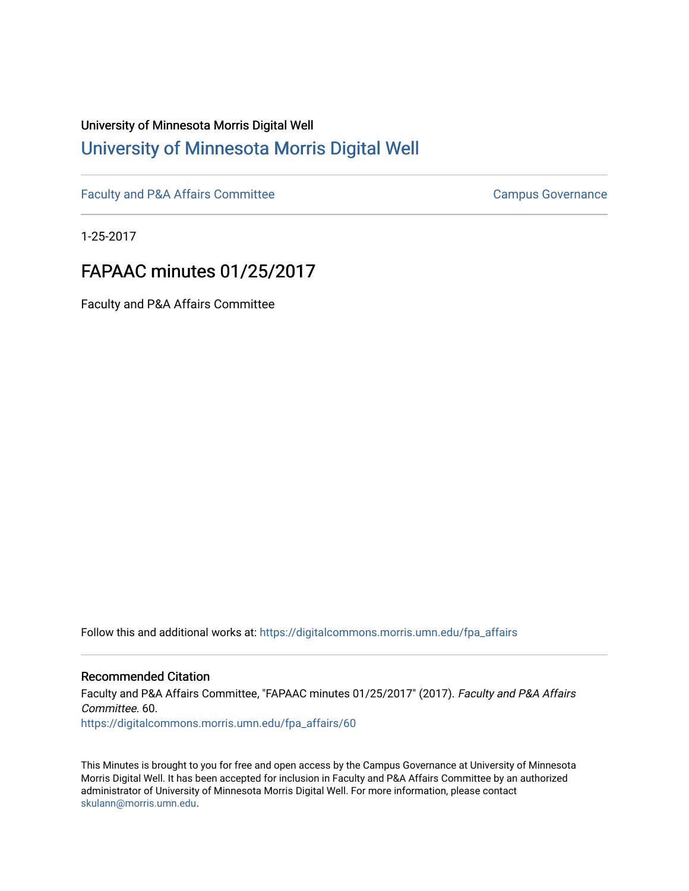## University of Minnesota Morris Digital Well [University of Minnesota Morris Digital Well](https://digitalcommons.morris.umn.edu/)

[Faculty and P&A Affairs Committee](https://digitalcommons.morris.umn.edu/fpa_affairs) [Campus Governance](https://digitalcommons.morris.umn.edu/campgov) Campus Governance

1-25-2017

## FAPAAC minutes 01/25/2017

Faculty and P&A Affairs Committee

Follow this and additional works at: [https://digitalcommons.morris.umn.edu/fpa\\_affairs](https://digitalcommons.morris.umn.edu/fpa_affairs?utm_source=digitalcommons.morris.umn.edu%2Ffpa_affairs%2F60&utm_medium=PDF&utm_campaign=PDFCoverPages)

## Recommended Citation

Faculty and P&A Affairs Committee, "FAPAAC minutes 01/25/2017" (2017). Faculty and P&A Affairs Committee. 60. [https://digitalcommons.morris.umn.edu/fpa\\_affairs/60](https://digitalcommons.morris.umn.edu/fpa_affairs/60?utm_source=digitalcommons.morris.umn.edu%2Ffpa_affairs%2F60&utm_medium=PDF&utm_campaign=PDFCoverPages) 

This Minutes is brought to you for free and open access by the Campus Governance at University of Minnesota Morris Digital Well. It has been accepted for inclusion in Faculty and P&A Affairs Committee by an authorized administrator of University of Minnesota Morris Digital Well. For more information, please contact [skulann@morris.umn.edu.](mailto:skulann@morris.umn.edu)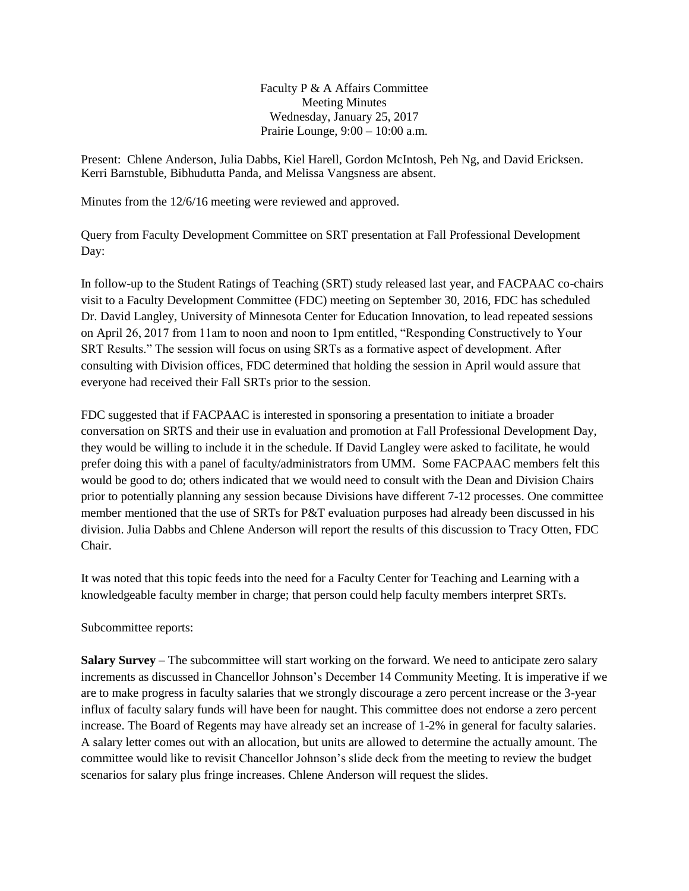Faculty P & A Affairs Committee Meeting Minutes Wednesday, January 25, 2017 Prairie Lounge, 9:00 – 10:00 a.m.

Present: Chlene Anderson, Julia Dabbs, Kiel Harell, Gordon McIntosh, Peh Ng, and David Ericksen. Kerri Barnstuble, Bibhudutta Panda, and Melissa Vangsness are absent.

Minutes from the 12/6/16 meeting were reviewed and approved.

Query from Faculty Development Committee on SRT presentation at Fall Professional Development Day:

In follow-up to the Student Ratings of Teaching (SRT) study released last year, and FACPAAC co-chairs visit to a Faculty Development Committee (FDC) meeting on September 30, 2016, FDC has scheduled Dr. David Langley, University of Minnesota Center for Education Innovation, to lead repeated sessions on April 26, 2017 from 11am to noon and noon to 1pm entitled, "Responding Constructively to Your SRT Results." The session will focus on using SRTs as a formative aspect of development. After consulting with Division offices, FDC determined that holding the session in April would assure that everyone had received their Fall SRTs prior to the session.

FDC suggested that if FACPAAC is interested in sponsoring a presentation to initiate a broader conversation on SRTS and their use in evaluation and promotion at Fall Professional Development Day, they would be willing to include it in the schedule. If David Langley were asked to facilitate, he would prefer doing this with a panel of faculty/administrators from UMM. Some FACPAAC members felt this would be good to do; others indicated that we would need to consult with the Dean and Division Chairs prior to potentially planning any session because Divisions have different 7-12 processes. One committee member mentioned that the use of SRTs for P&T evaluation purposes had already been discussed in his division. Julia Dabbs and Chlene Anderson will report the results of this discussion to Tracy Otten, FDC Chair.

It was noted that this topic feeds into the need for a Faculty Center for Teaching and Learning with a knowledgeable faculty member in charge; that person could help faculty members interpret SRTs.

Subcommittee reports:

**Salary Survey** – The subcommittee will start working on the forward. We need to anticipate zero salary increments as discussed in Chancellor Johnson's December 14 Community Meeting. It is imperative if we are to make progress in faculty salaries that we strongly discourage a zero percent increase or the 3-year influx of faculty salary funds will have been for naught. This committee does not endorse a zero percent increase. The Board of Regents may have already set an increase of 1-2% in general for faculty salaries. A salary letter comes out with an allocation, but units are allowed to determine the actually amount. The committee would like to revisit Chancellor Johnson's slide deck from the meeting to review the budget scenarios for salary plus fringe increases. Chlene Anderson will request the slides.